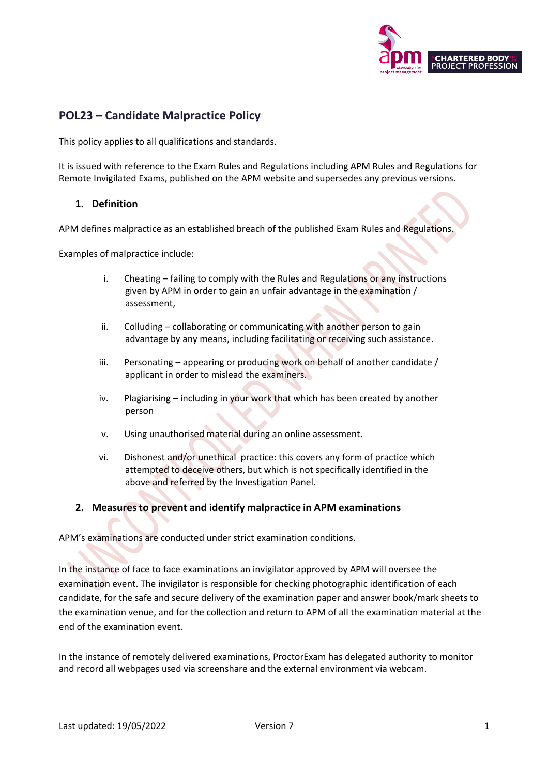

# **POL23 – Candidate Malpractice Policy**

This policy applies to all qualifications and standards.

It is issued with reference to the Exam Rules and Regulations including APM Rules and Regulations for Remote Invigilated Exams, published on the APM website and supersedes any previous versions.

### **1. Definition**

APM defines malpractice as an established breach of the published Exam Rules and Regulations.

Examples of malpractice include:

- i. Cheating failing to comply with the Rules and Regulations or any instructions given by APM in order to gain an unfair advantage in the examination / assessment,
- ii. Colluding collaborating or communicating with another person to gain advantage by any means, including facilitating or receiving such assistance.
- iii. Personating appearing or producing work on behalf of another candidate / applicant in order to mislead the examiners.
- iv. Plagiarising including in your work that which has been created by another person
- v. Using unauthorised material during an online assessment.
- vi. Dishonest and/or unethical practice: this covers any form of practice which attempted to deceive others, but which is not specifically identified in the above and referred by the Investigation Panel.

#### **2. Measuresto prevent and identify malpractice in APM examinations**

APM's examinations are conducted under strict examination conditions.

In the instance of face to face examinations an invigilator approved by APM will oversee the examination event. The invigilator is responsible for checking photographic identification of each candidate, for the safe and secure delivery of the examination paper and answer book/mark sheets to the examination venue, and for the collection and return to APM of all the examination material at the end of the examination event.

In the instance of remotely delivered examinations, ProctorExam has delegated authority to monitor and record all webpages used via screenshare and the external environment via webcam.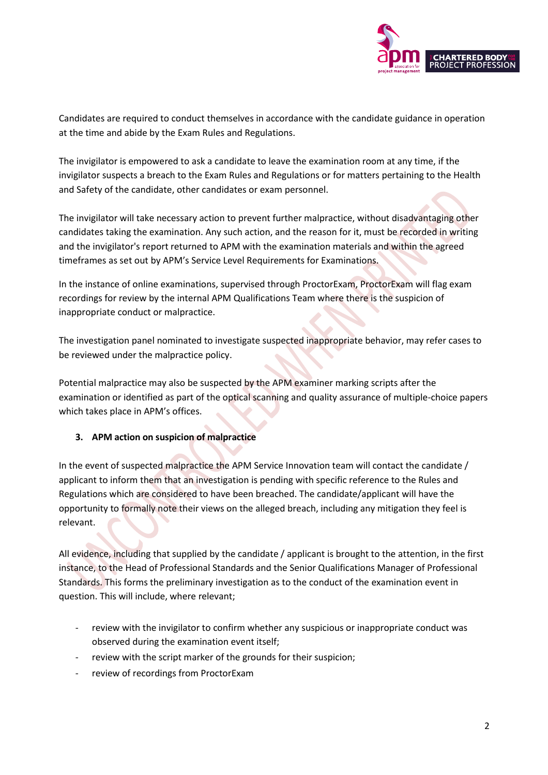

Candidates are required to conduct themselves in accordance with the candidate guidance in operation at the time and abide by the Exam Rules and Regulations.

The invigilator is empowered to ask a candidate to leave the examination room at any time, if the invigilator suspects a breach to the Exam Rules and Regulations or for matters pertaining to the Health and Safety of the candidate, other candidates or exam personnel.

The invigilator will take necessary action to prevent further malpractice, without disadvantaging other candidates taking the examination. Any such action, and the reason for it, must be recorded in writing and the invigilator's report returned to APM with the examination materials and within the agreed timeframes as set out by APM's Service Level Requirements for Examinations.

In the instance of online examinations, supervised through ProctorExam, ProctorExam will flag exam recordings for review by the internal APM Qualifications Team where there is the suspicion of inappropriate conduct or malpractice.

The investigation panel nominated to investigate suspected inappropriate behavior, may refer cases to be reviewed under the malpractice policy.

Potential malpractice may also be suspected by the APM examiner marking scripts after the examination or identified as part of the optical scanning and quality assurance of multiple-choice papers which takes place in APM's offices.

## **3. APM action on suspicion of malpractice**

In the event of suspected malpractice the APM Service Innovation team will contact the candidate / applicant to inform them that an investigation is pending with specific reference to the Rules and Regulations which are considered to have been breached. The candidate/applicant will have the opportunity to formally note their views on the alleged breach, including any mitigation they feel is relevant.

All evidence, including that supplied by the candidate / applicant is brought to the attention, in the first instance, to the Head of Professional Standards and the Senior Qualifications Manager of Professional Standards. This forms the preliminary investigation as to the conduct of the examination event in question. This will include, where relevant;

- review with the invigilator to confirm whether any suspicious or inappropriate conduct was observed during the examination event itself;
- review with the script marker of the grounds for their suspicion;
- review of recordings from ProctorExam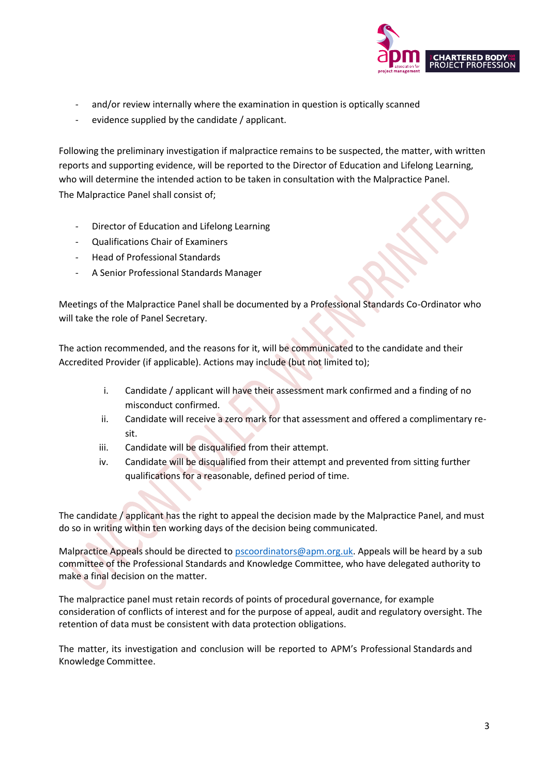

- and/or review internally where the examination in question is optically scanned
- evidence supplied by the candidate / applicant.

Following the preliminary investigation if malpractice remains to be suspected, the matter, with written reports and supporting evidence, will be reported to the Director of Education and Lifelong Learning, who will determine the intended action to be taken in consultation with the Malpractice Panel. The Malpractice Panel shall consist of;

- Director of Education and Lifelong Learning
- Qualifications Chair of Examiners
- Head of Professional Standards
- A Senior Professional Standards Manager

Meetings of the Malpractice Panel shall be documented by a Professional Standards Co-Ordinator who will take the role of Panel Secretary.

The action recommended, and the reasons for it, will be communicated to the candidate and their Accredited Provider (if applicable). Actions may include (but not limited to);

- i. Candidate / applicant will have their assessment mark confirmed and a finding of no misconduct confirmed.
- ii. Candidate will receive a zero mark for that assessment and offered a complimentary resit.
- iii. Candidate will be disqualified from their attempt.
- iv. Candidate will be disqualified from their attempt and prevented from sitting further qualifications for a reasonable, defined period of time.

The candidate / applicant has the right to appeal the decision made by the Malpractice Panel, and must do so in writing within ten working days of the decision being communicated.

Malpractice Appeals should be directed to [pscoordinators@apm.org.uk.](mailto:pscoordinators@apm.org.uk) Appeals will be heard by a sub committee of the Professional Standards and Knowledge Committee, who have delegated authority to make a final decision on the matter.

The malpractice panel must retain records of points of procedural governance, for example consideration of conflicts of interest and for the purpose of appeal, audit and regulatory oversight. The retention of data must be consistent with data protection obligations.

The matter, its investigation and conclusion will be reported to APM's Professional Standards and Knowledge Committee.